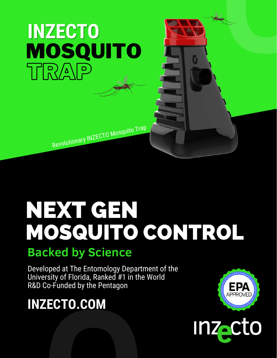## TRAP MOSQUITO **INZECTO**

Revolutionary INZECTO Mosquito Trap

# NEXT GEN MOSQUITO CONTROL

### **Backed by Science**

Developed at The Entomology Department of the University of Florida, Ranked #1 in the World R&D Co-Funded by the Pentagon

# **O INZECTO.COM**



**O**

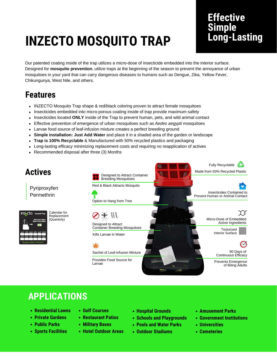## **INZECTO MOSQUITO TRAP**

#### **Effective Simple Long-Lasting**

Our patented coating inside of the trap utilizes a micro-dose of insecticide embedded into the interior surface. Designed for **mosquito prevention**, utilize traps at the beginning of the season to prevent the annoyance of urban mosquitoes in your yard that can carry dangerous diseases to humans such as Dengue, Zika, Yellow Fever, Chikungunya, West Nile, and others.

#### **Features**

- INZECTO Mosquito Trap shape & red/black coloring proven to attract female mosquitoes
- Insecticides embedded into micro-porous coating inside of trap provide maximum safety
- Insecticides located **ONLY** inside of the Trap to prevent human, pets, and wild animal contact
- Effective prevention of emergence of urban mosquitoes such as *Aedes aegypti* mosquitoes
- Larvae food source of leaf-infusion mixture creates a perfect breeding ground
- **Simple installation: Just Add Water** and place it in a shaded area of the garden or landscape
- **Trap is 100% Recyclable** & Manufactured with 50% recycled plastics and packaging
- Long-lasting efficacy minimizing replacement costs and requiring no reapplication of actives
- Recommended disposal after three (3) Months  $\bullet$



#### **APPLICATIONS**

- **Residential Lawns**
- **Private Gardens**
- **Public Parks**
- **Sports Facilities**
- **Golf Courses**
- **Restaurant Patios**
- **Military Bases**
- **Hotel Outdoor Areas**
- **Hospital Grounds**
- **Schools and Playgrounds**
- **Pools and Water Parks**
- **Outdoor Stadiums**
- **Amusement Parks**
- **Government Institutions**
- **Universities**
- **Cemeteries**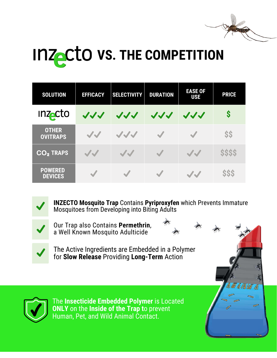

**A M A M M A** 

## **INZACTO VS. THE COMPETITION**

| <b>SOLUTION</b>                  | <b>EFFICACY</b> | <b>SELECTIVITY</b> | <b>DURATION</b>      | <b>EASE OF</b><br><b>USE</b> | <b>PRICE</b> |
|----------------------------------|-----------------|--------------------|----------------------|------------------------------|--------------|
| <b>Inzacto</b>                   | JJJ             | JJJ                | JJJ                  | JJJ                          | S            |
| <b>OTHER</b><br><b>OVITRAPS</b>  | JJ              | JJJ                |                      | $\overline{\mathcal{L}}$     | <b>SS</b>    |
| $CO2$ TRAPS                      | JJ              | JJ                 | V                    | JJ                           | <b>SSSS</b>  |
| <b>POWERED</b><br><b>DEVICES</b> |                 |                    | $\blacktriangledown$ | JJ                           | <b>SSS</b>   |



**INZECTO Mosquito Trap** Contains **Pyriproxyfen** which Prevents Immature Mosquitoes from Developing into Biting Adults



Our Trap also Contains **Permethrin**, a Well Known Mosquito Adulticide

The Active Ingredients are Embedded in a Polymer for **Slow Release** Providing **Long-Term** Action



The **Insecticide Embedded Polymer** is Located **ONLY** on the **Inside of the Trap t**o prevent Human, Pet, and Wild Animal Contact.